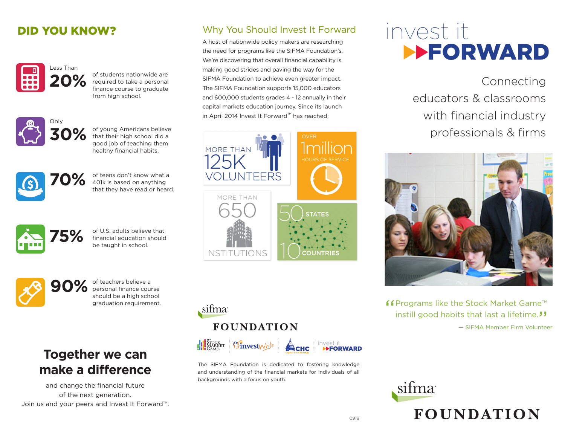## DID YOU KNOW?



of students nationwide are required to take a personal finance course to graduate from high school.



**30%** of young Americans believe<br>
that their high school did a<br>
cood job of teaching them good job of teaching them healthy financial habits.



of teens don't know what a 401k is based on anything that they have read or heard.



of U.S. adults believe that financial education should **75%** be taught in school.



of teachers believe a personal finance course should be a high school graduation requirement.

## **Together we can make a difference**

and change the financial future of the next generation. Join us and your peers and Invest It Forward™.

## Why You Should Invest It Forward

A host of nationwide policy makers are researching the need for programs like the SIFMA Foundation's. We're discovering that overall financial capability is making good strides and paving the way for the SIFMA Foundation to achieve even greater impact. The SIFMA Foundation supports 15,000 educators and 600,000 students grades 4 - 12 annually in their capital markets education journey. Since its launch in April 2014 Invest It Forward™ has reached:





The SIFMA Foundation is dedicated to fostering knowledge and understanding of the financial markets for individuals of all backgrounds with a focus on youth.

# invest it **EFORWARD**

Connecting educators & classrooms with financial industry professionals & firms



ff Programs like the Stock Market Game™<br>instill good habits that last a lifetime. instill good habits that last a lifetime."<br> $-$  SIFMA Member Firm Voluntee — SIFMA Member Firm Volunteer